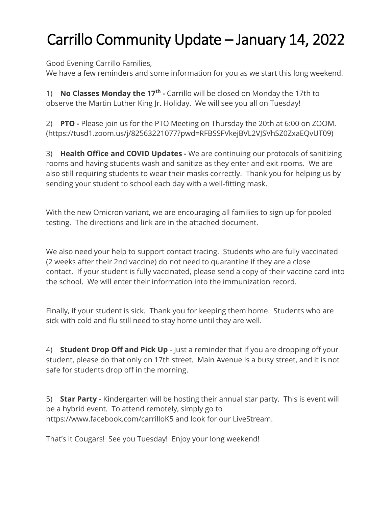## Carrillo Community Update – January 14, 2022

Good Evening Carrillo Families,

We have a few reminders and some information for you as we start this long weekend.

1) **No Classes Monday the 17th -** Carrillo will be closed on Monday the 17th to observe the Martin Luther King Jr. Holiday. We will see you all on Tuesday!

2) **PTO -** Please join us for the PTO Meeting on Thursday the 20th at 6:00 on ZOOM. (https://tusd1.zoom.us/j/82563221077?pwd=RFBSSFVkejBVL2VJSVhSZ0ZxaEQvUT09)

3) **Health Office and COVID Updates -** We are continuing our protocols of sanitizing rooms and having students wash and sanitize as they enter and exit rooms. We are also still requiring students to wear their masks correctly. Thank you for helping us by sending your student to school each day with a well-fitting mask.

With the new Omicron variant, we are encouraging all families to sign up for pooled testing. The directions and link are in the attached document.

We also need your help to support contact tracing. Students who are fully vaccinated (2 weeks after their 2nd vaccine) do not need to quarantine if they are a close contact. If your student is fully vaccinated, please send a copy of their vaccine card into the school. We will enter their information into the immunization record.

Finally, if your student is sick. Thank you for keeping them home. Students who are sick with cold and flu still need to stay home until they are well.

4) **Student Drop Off and Pick Up** - Just a reminder that if you are dropping off your student, please do that only on 17th street. Main Avenue is a busy street, and it is not safe for students drop off in the morning.

5) **Star Party** - Kindergarten will be hosting their annual star party. This is event will be a hybrid event. To attend remotely, simply go to https://www.facebook.com/carrilloK5 and look for our LiveStream.

That's it Cougars! See you Tuesday! Enjoy your long weekend!